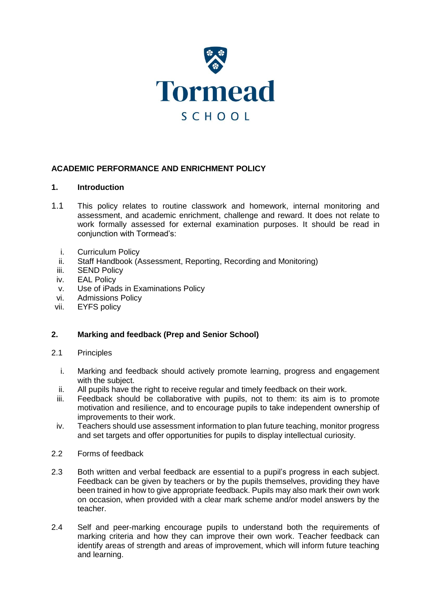

## **ACADEMIC PERFORMANCE AND ENRICHMENT POLICY**

#### **1. Introduction**

- 1.1 This policy relates to routine classwork and homework, internal monitoring and assessment, and academic enrichment, challenge and reward. It does not relate to work formally assessed for external examination purposes. It should be read in conjunction with Tormead's:
	- i. Curriculum Policy
	- ii. Staff Handbook (Assessment, Reporting, Recording and Monitoring)
	- iii. SEND Policy
- iv. EAL Policy
- v. Use of iPads in Examinations Policy
- vi. Admissions Policy
- vii. EYFS policy

### **2. Marking and feedback (Prep and Senior School)**

- 2.1 Principles
	- i. Marking and feedback should actively promote learning, progress and engagement with the subject.
	- ii. All pupils have the right to receive regular and timely feedback on their work.
	- iii. Feedback should be collaborative with pupils, not to them: its aim is to promote motivation and resilience, and to encourage pupils to take independent ownership of improvements to their work.
	- iv. Teachers should use assessment information to plan future teaching, monitor progress and set targets and offer opportunities for pupils to display intellectual curiosity.
- 2.2 Forms of feedback
- 2.3 Both written and verbal feedback are essential to a pupil's progress in each subject. Feedback can be given by teachers or by the pupils themselves, providing they have been trained in how to give appropriate feedback. Pupils may also mark their own work on occasion, when provided with a clear mark scheme and/or model answers by the teacher.
- 2.4 Self and peer-marking encourage pupils to understand both the requirements of marking criteria and how they can improve their own work. Teacher feedback can identify areas of strength and areas of improvement, which will inform future teaching and learning.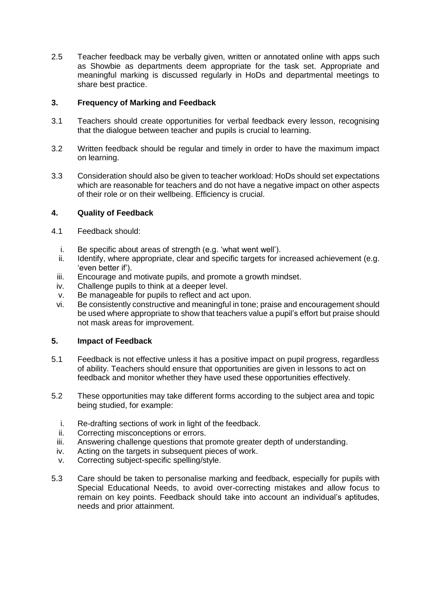2.5 Teacher feedback may be verbally given, written or annotated online with apps such as Showbie as departments deem appropriate for the task set. Appropriate and meaningful marking is discussed regularly in HoDs and departmental meetings to share best practice.

# **3. Frequency of Marking and Feedback**

- 3.1 Teachers should create opportunities for verbal feedback every lesson, recognising that the dialogue between teacher and pupils is crucial to learning.
- 3.2 Written feedback should be regular and timely in order to have the maximum impact on learning.
- 3.3 Consideration should also be given to teacher workload: HoDs should set expectations which are reasonable for teachers and do not have a negative impact on other aspects of their role or on their wellbeing. Efficiency is crucial.

## **4. Quality of Feedback**

- 4.1 Feedback should:
	- i. Be specific about areas of strength (e.g. 'what went well').
	- ii. Identify, where appropriate, clear and specific targets for increased achievement (e.g. 'even better if').
	- iii. Encourage and motivate pupils, and promote a growth mindset.
	- iv. Challenge pupils to think at a deeper level.
	- v. Be manageable for pupils to reflect and act upon.
	- vi. Be consistently constructive and meaningful in tone; praise and encouragement should be used where appropriate to show that teachers value a pupil's effort but praise should not mask areas for improvement.

### **5. Impact of Feedback**

- 5.1 Feedback is not effective unless it has a positive impact on pupil progress, regardless of ability. Teachers should ensure that opportunities are given in lessons to act on feedback and monitor whether they have used these opportunities effectively.
- 5.2 These opportunities may take different forms according to the subject area and topic being studied, for example:
	- i. Re-drafting sections of work in light of the feedback.
	- ii. Correcting misconceptions or errors.
	- iii. Answering challenge questions that promote greater depth of understanding.
	- iv. Acting on the targets in subsequent pieces of work.
	- v. Correcting subject-specific spelling/style.
- 5.3 Care should be taken to personalise marking and feedback, especially for pupils with Special Educational Needs, to avoid over-correcting mistakes and allow focus to remain on key points. Feedback should take into account an individual's aptitudes, needs and prior attainment.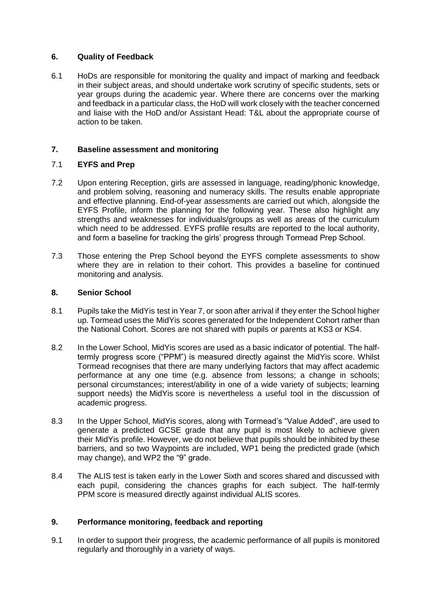## **6. Quality of Feedback**

6.1 HoDs are responsible for monitoring the quality and impact of marking and feedback in their subject areas, and should undertake work scrutiny of specific students, sets or year groups during the academic year. Where there are concerns over the marking and feedback in a particular class, the HoD will work closely with the teacher concerned and liaise with the HoD and/or Assistant Head: T&L about the appropriate course of action to be taken.

# **7. Baseline assessment and monitoring**

## 7.1 **EYFS and Prep**

- 7.2 Upon entering Reception, girls are assessed in language, reading/phonic knowledge, and problem solving, reasoning and numeracy skills. The results enable appropriate and effective planning. End-of-year assessments are carried out which, alongside the EYFS Profile, inform the planning for the following year. These also highlight any strengths and weaknesses for individuals/groups as well as areas of the curriculum which need to be addressed. EYFS profile results are reported to the local authority, and form a baseline for tracking the girls' progress through Tormead Prep School.
- 7.3 Those entering the Prep School beyond the EYFS complete assessments to show where they are in relation to their cohort. This provides a baseline for continued monitoring and analysis.

### **8. Senior School**

- 8.1 Pupils take the MidYis test in Year 7, or soon after arrival if they enter the School higher up. Tormead uses the MidYis scores generated for the Independent Cohort rather than the National Cohort. Scores are not shared with pupils or parents at KS3 or KS4.
- 8.2 In the Lower School, MidYis scores are used as a basic indicator of potential. The halftermly progress score ("PPM") is measured directly against the MidYis score. Whilst Tormead recognises that there are many underlying factors that may affect academic performance at any one time (e.g. absence from lessons; a change in schools; personal circumstances; interest/ability in one of a wide variety of subjects; learning support needs) the MidYis score is nevertheless a useful tool in the discussion of academic progress.
- 8.3 In the Upper School, MidYis scores, along with Tormead's "Value Added", are used to generate a predicted GCSE grade that any pupil is most likely to achieve given their MidYis profile. However, we do not believe that pupils should be inhibited by these barriers, and so two Waypoints are included, WP1 being the predicted grade (which may change), and WP2 the "9" grade.
- 8.4 The ALIS test is taken early in the Lower Sixth and scores shared and discussed with each pupil, considering the chances graphs for each subject. The half-termly PPM score is measured directly against individual ALIS scores.

### **9. Performance monitoring, feedback and reporting**

9.1 In order to support their progress, the academic performance of all pupils is monitored regularly and thoroughly in a variety of ways.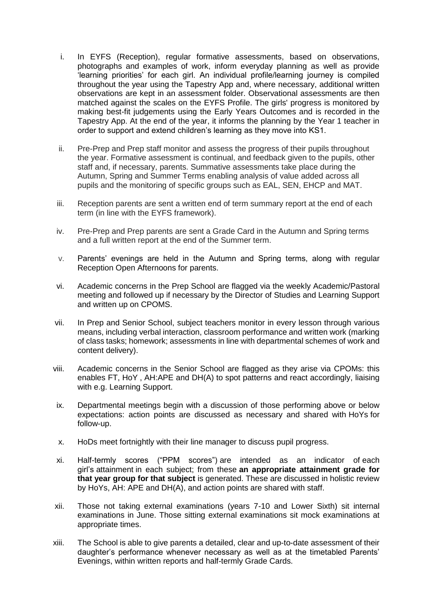- i. In EYFS (Reception), regular formative assessments, based on observations, photographs and examples of work, inform everyday planning as well as provide 'learning priorities' for each girl. An individual profile/learning journey is compiled throughout the year using the Tapestry App and, where necessary, additional written observations are kept in an assessment folder. Observational assessments are then matched against the scales on the EYFS Profile. The girls' progress is monitored by making best-fit judgements using the Early Years Outcomes and is recorded in the Tapestry App. At the end of the year, it informs the planning by the Year 1 teacher in order to support and extend children's learning as they move into KS1.
- ii. Pre-Prep and Prep staff monitor and assess the progress of their pupils throughout the year. Formative assessment is continual, and feedback given to the pupils, other staff and, if necessary, parents. Summative assessments take place during the Autumn, Spring and Summer Terms enabling analysis of value added across all pupils and the monitoring of specific groups such as EAL, SEN, EHCP and MAT.
- iii. Reception parents are sent a written end of term summary report at the end of each term (in line with the EYFS framework).
- iv. Pre-Prep and Prep parents are sent a Grade Card in the Autumn and Spring terms and a full written report at the end of the Summer term.
- v. Parents' evenings are held in the Autumn and Spring terms, along with regular Reception Open Afternoons for parents.
- vi. Academic concerns in the Prep School are flagged via the weekly Academic/Pastoral meeting and followed up if necessary by the Director of Studies and Learning Support and written up on CPOMS.
- vii. In Prep and Senior School, subject teachers monitor in every lesson through various means, including verbal interaction, classroom performance and written work (marking of class tasks; homework; assessments in line with departmental schemes of work and content delivery).
- viii. Academic concerns in the Senior School are flagged as they arise via CPOMs: this enables FT, HoY , AH:APE and DH(A) to spot patterns and react accordingly, liaising with e.g. Learning Support.
- ix. Departmental meetings begin with a discussion of those performing above or below expectations: action points are discussed as necessary and shared with HoYs for follow-up.
- x. HoDs meet fortnightly with their line manager to discuss pupil progress.
- xi. Half-termly scores ("PPM scores") are intended as an indicator of each girl's attainment in each subject; from these **an appropriate attainment grade for that year group for that subject** is generated. These are discussed in holistic review by HoYs, AH: APE and DH(A), and action points are shared with staff.
- xii. Those not taking external examinations (years 7-10 and Lower Sixth) sit internal examinations in June. Those sitting external examinations sit mock examinations at appropriate times.
- xiii. The School is able to give parents a detailed, clear and up-to-date assessment of their daughter's performance whenever necessary as well as at the timetabled Parents' Evenings, within written reports and half-termly Grade Cards.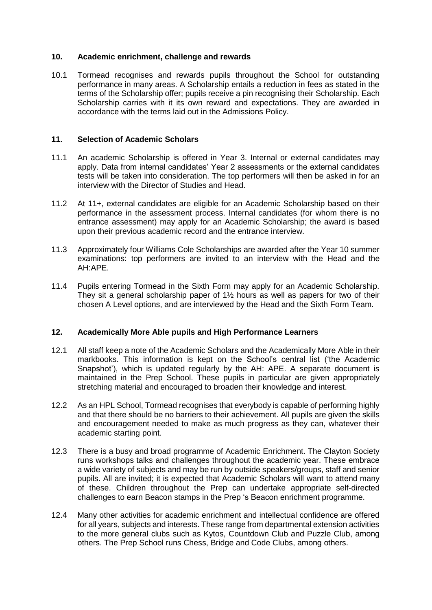#### **10. Academic enrichment, challenge and rewards**

10.1 Tormead recognises and rewards pupils throughout the School for outstanding performance in many areas. A Scholarship entails a reduction in fees as stated in the terms of the Scholarship offer; pupils receive a pin recognising their Scholarship. Each Scholarship carries with it its own reward and expectations. They are awarded in accordance with the terms laid out in the Admissions Policy.

#### **11. Selection of Academic Scholars**

- 11.1 An academic Scholarship is offered in Year 3. Internal or external candidates may apply. Data from internal candidates' Year 2 assessments or the external candidates tests will be taken into consideration. The top performers will then be asked in for an interview with the Director of Studies and Head.
- 11.2 At 11+, external candidates are eligible for an Academic Scholarship based on their performance in the assessment process. Internal candidates (for whom there is no entrance assessment) may apply for an Academic Scholarship; the award is based upon their previous academic record and the entrance interview.
- 11.3 Approximately four Williams Cole Scholarships are awarded after the Year 10 summer examinations: top performers are invited to an interview with the Head and the AH:APE.
- 11.4 Pupils entering Tormead in the Sixth Form may apply for an Academic Scholarship. They sit a general scholarship paper of 1½ hours as well as papers for two of their chosen A Level options, and are interviewed by the Head and the Sixth Form Team.

### **12. Academically More Able pupils and High Performance Learners**

- 12.1 All staff keep a note of the Academic Scholars and the Academically More Able in their markbooks. This information is kept on the School's central list ('the Academic Snapshot'), which is updated regularly by the AH: APE. A separate document is maintained in the Prep School. These pupils in particular are given appropriately stretching material and encouraged to broaden their knowledge and interest.
- 12.2 As an HPL School, Tormead recognises that everybody is capable of performing highly and that there should be no barriers to their achievement. All pupils are given the skills and encouragement needed to make as much progress as they can, whatever their academic starting point.
- 12.3 There is a busy and broad programme of Academic Enrichment. The Clayton Society runs workshops talks and challenges throughout the academic year. These embrace a wide variety of subjects and may be run by outside speakers/groups, staff and senior pupils. All are invited; it is expected that Academic Scholars will want to attend many of these. Children throughout the Prep can undertake appropriate self-directed challenges to earn Beacon stamps in the Prep 's Beacon enrichment programme.
- 12.4 Many other activities for academic enrichment and intellectual confidence are offered for all years, subjects and interests. These range from departmental extension activities to the more general clubs such as Kytos, Countdown Club and Puzzle Club, among others. The Prep School runs Chess, Bridge and Code Clubs, among others.